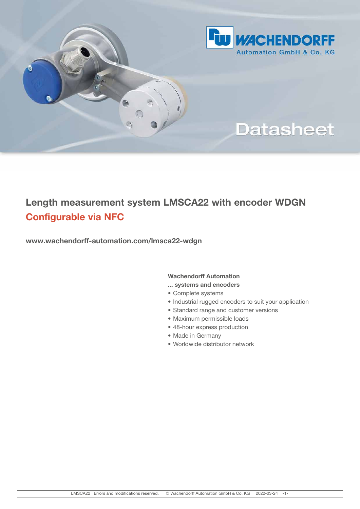

# **Datasheet**

# Length measurement system LMSCA22 with encoder WDGN Configurable via NFC

www.wachendorff-automation.com/lmsca22-wdgn

G

### Wachendorff Automation

- ... systems and encoders
- Complete systems
- Industrial rugged encoders to suit your application
- Standard range and customer versions
- Maximum permissible loads
- 48-hour express production
- Made in Germany
- Worldwide distributor network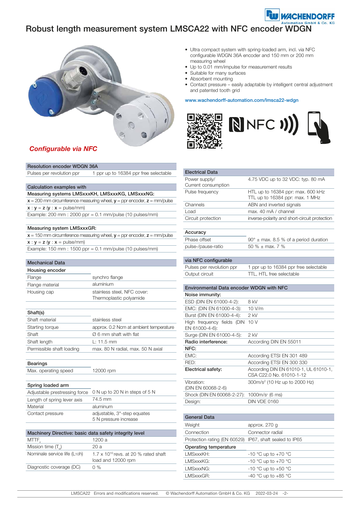# Robust length measurement system LMSCA22 with NFC encoder WDGN



### Configurable via NFC

| <b>Resolution encoder WDGN 36A</b> |
|------------------------------------|
|------------------------------------|

Pulses per revolution ppr 1 ppr up to 16384 ppr free selectable

#### Calculation examples with

#### Measuring systems LMSxxxKH, LMSxxxKG, LMSxxxNG:

 $x = 200$  mm circumference measuring wheel,  $y =$  ppr encoder,  $z =$  mm/pulse  $x : y = z (y : x = \text{pulse/mm})$ 

Example: 200 mm : 2000 ppr = 0.1 mm/pulse (10 pulses/mm)

#### Measuring system LMSxxxGR:

| $x = 150$ mm circumference measuring wheel, $y =$ ppr encoder, $z =$ mm/pulse |
|-------------------------------------------------------------------------------|
| $x : y = z (y : x = pulse/mm)$                                                |
| Example: 150 mm : 1500 ppr = $0.1$ mm/pulse (10 pulses/mm)                    |

#### Mechanical Data

| Housing encoder |                                                        |
|-----------------|--------------------------------------------------------|
| Flange          | synchro flange                                         |
| Flange material | aluminium                                              |
| Housing cap     | stainless steel, NFC cover:<br>Thermoplastic polyamide |

| . . |  |
|-----|--|
|-----|--|

| וטווטווט                  |                                        |
|---------------------------|----------------------------------------|
| Shaft material            | stainless steel                        |
| Starting torque           | approx. 0.2 Ncm at ambient temperature |
| Shaft                     | $\varnothing$ 6 mm shaft with flat     |
| Shaft length              | $\pm$ : 11.5 mm                        |
| Permissible shaft loading | max. 80 N radial, max. 50 N axial      |
|                           |                                        |

#### Bearings

Max. operating speed 12000 rpm

#### Spring loaded arm

|                             | Adjustable prestressing force 0 N up to 20 N in steps of 5 N |
|-----------------------------|--------------------------------------------------------------|
| Length of spring lever axis | 74.5 mm                                                      |
| Material                    | aluminum                                                     |
| Contact pressure            | adjustable, 3°-step equates                                  |
|                             | 5 N pressure increase                                        |

| Machinery Directive: basic data safety integrity level |                                                                      |  |
|--------------------------------------------------------|----------------------------------------------------------------------|--|
| MTTF,                                                  | 1200 a                                                               |  |
| Mission time (T.)                                      | 20 a                                                                 |  |
| Nominale service life (L <sub>10</sub> h)              | $1.7 \times 10^{10}$ revs. at 20 % rated shaft<br>load and 12000 rpm |  |
| Diagnostic coverage (DC)                               | $0\%$                                                                |  |
|                                                        |                                                                      |  |

- Ultra compact system with spring-loaded arm, incl. via NFC configurable WDGN 36A encoder and 150 mm or 200 mm measuring wheel
- Up to 0.01 mm/impulse for measurement results
- Suitable for many surfaces
- Absorbent mounting
- Contact pressure easily adaptable by intelligent central adjustment and patented tooth grid

**DORFF** 

#### www.wachendorff-automation.com/lmsca22-wdgn



| <b>Electrical Data</b>                          |                                                |
|-------------------------------------------------|------------------------------------------------|
| Power supply/                                   | 4.75 VDC up to 32 VDC: typ. 80 mA              |
| Current consumption                             |                                                |
| Pulse frequency                                 | HTL up to 16384 ppr: max. 600 kHz              |
|                                                 | TTL up to 16384 ppr: max. 1 MHz                |
| Channels                                        | ABN and inverted signals                       |
| Load                                            | max. 40 mA / channel                           |
| Circuit protection                              | inverse-polarity and short-circuit protection  |
|                                                 |                                                |
| Accuracy                                        |                                                |
| Phase offset                                    | $90^\circ \pm$ max. 8.5 % of a period duration |
| pulse-/pause-ratio                              | 50 $%$ ± max, 7 $%$                            |
|                                                 |                                                |
| via NFC configurable                            |                                                |
| Pulses per revolution ppr                       | 1 ppr up to 16384 ppr free selectable          |
| Output circuit                                  | TTL. HTL free selectable                       |
|                                                 |                                                |
| <b>Environmental Data encoder WDGN with NFC</b> |                                                |
| Noise immunity:                                 |                                                |
| ESD (DIN EN 61000-4-2):                         | 8 kV                                           |
| EMC: (DIN EN 61000-4-3):                        | 10 V/m                                         |
| Burst (DIN EN 61000-4-4):                       | $2$ kV                                         |
| High frequency fields (DIN                      | 10V                                            |
| EN 61000-4-6):                                  |                                                |
| Surge (DIN EN 61000-4-5):                       | 2 kV                                           |
| Radio interference:                             | According DIN EN 55011                         |
| NFC:                                            |                                                |
| EMC:                                            | According ETSI EN 301 489                      |
| RED:                                            | According ETSI EN 300 330                      |
| Electrical safety:                              | According DIN EN 61010-1, UL 61010-1,          |
|                                                 | CSA C22.0 No. 61010-1-12                       |
| Vibration:                                      | 300m/s <sup>2</sup> (10 Hz up to 2000 Hz)      |
| (DIN EN 60068-2-6)                              |                                                |
| Shock (DIN EN 60068-2-27):                      | 1000m/s <sup>2</sup> (6 ms)                    |
| Design:                                         | <b>DIN VDE 0160</b>                            |
|                                                 |                                                |
| General Data                                    |                                                |
| Weight                                          | approx. 270 g                                  |

| Weight                                                  | approx. 270 g       |
|---------------------------------------------------------|---------------------|
| Connection                                              | Connector radial    |
| Protection rating (EN 60529) IP67, shaft sealed to IP65 |                     |
| Operating temperature                                   |                     |
| LMSxxxKH:                                               | -10 °C up to +70 °C |
| LMSxxxKG:                                               | -10 °C up to +70 °C |
| LMSxxxNG:                                               | -10 °C up to +50 °C |
| LMSxxxGR:                                               | -40 °C up to +85 °C |
|                                                         |                     |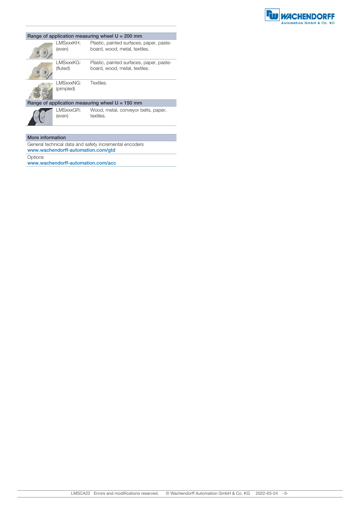

|                                                   |                         | Range of application measuring wheel $U = 200$ mm                         |
|---------------------------------------------------|-------------------------|---------------------------------------------------------------------------|
|                                                   | I MSxxxKH:<br>(even)    | Plastic, painted surfaces, paper, paste-<br>board, wood, metal, textiles. |
|                                                   | I MSxxxKG:<br>(fluted)  | Plastic, painted surfaces, paper, paste-<br>board, wood, metal, textiles. |
|                                                   | I MSxxxNG:<br>(pimpled) | Textiles.                                                                 |
| Range of application measuring wheel $U = 150$ mm |                         |                                                                           |
|                                                   | LMSxxxGR:<br>(even)     | Wood, metal, conveyor belts, paper,<br>textiles.                          |
|                                                   |                         |                                                                           |

#### More information

General technical data and safety incremental encoders www.wachendorff-automation.com/gtd **Options** 

www.wachendorff-automation.com/acc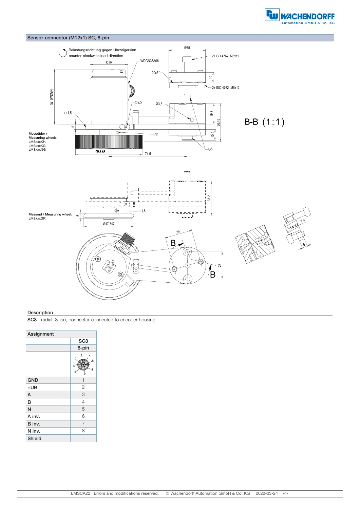



#### **Description**

SC8 radial, 8-pin, connector connected to encoder housing

| Assignment |                 |
|------------|-----------------|
|            | SC <sub>8</sub> |
|            | 8-pin           |
|            | Ŕ<br>5          |
| <b>GND</b> | 1               |
| $+UB$      | $\overline{c}$  |
| A          | 3               |
| B          | $\overline{4}$  |
| N          | 5               |
| A inv.     | 6               |
| B inv.     | $\overline{7}$  |
| N inv.     | 8               |
| Shield     |                 |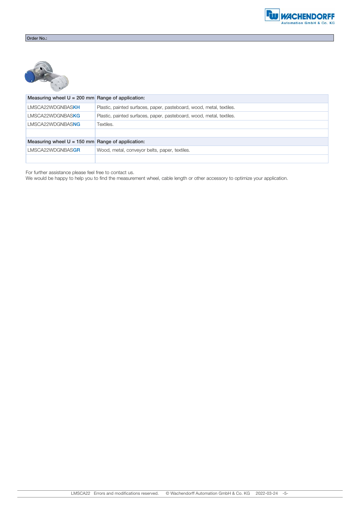

| Measuring wheel $U = 200$ mm Range of application: |                                                                      |
|----------------------------------------------------|----------------------------------------------------------------------|
| LMSCA22WDGNBASKH                                   | Plastic, painted surfaces, paper, pasteboard, wood, metal, textiles. |
| LMSCA22WDGNBASKG                                   | Plastic, painted surfaces, paper, pasteboard, wood, metal, textiles. |
| LMSCA22WDGNBASNG                                   | Textiles.                                                            |
|                                                    |                                                                      |
| Measuring wheel $U = 150$ mm Range of application: |                                                                      |
| LMSCA22WDGNBASGR                                   | Wood, metal, conveyor belts, paper, textiles.                        |
|                                                    |                                                                      |

For further assistance please feel free to contact us.

We would be happy to help you to find the measurement wheel, cable length or other accessory to optimize your application.